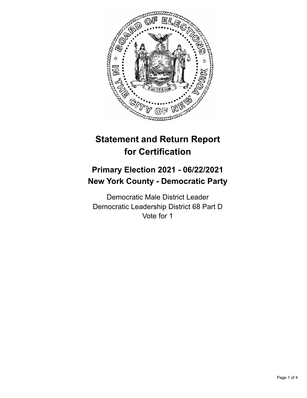

# **Statement and Return Report for Certification**

## **Primary Election 2021 - 06/22/2021 New York County - Democratic Party**

Democratic Male District Leader Democratic Leadership District 68 Part D Vote for 1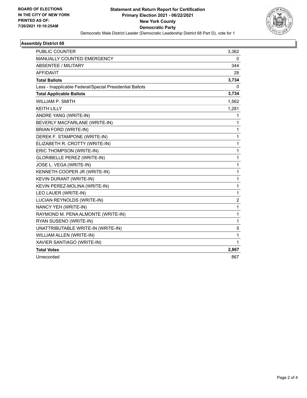

#### **Assembly District 68**

| <b>PUBLIC COUNTER</b>                                    | 3,362          |
|----------------------------------------------------------|----------------|
| MANUALLY COUNTED EMERGENCY                               | 0              |
| <b>ABSENTEE / MILITARY</b>                               | 344            |
| <b>AFFIDAVIT</b>                                         | 28             |
| <b>Total Ballots</b>                                     | 3,734          |
| Less - Inapplicable Federal/Special Presidential Ballots | 0              |
| <b>Total Applicable Ballots</b>                          | 3,734          |
| <b>WILLIAM P. SMITH</b>                                  | 1,562          |
| <b>KEITH LILLY</b>                                       | 1,281          |
| ANDRE YANG (WRITE-IN)                                    | 1              |
| BEVERLY MACFARLANE (WRITE-IN)                            | 1              |
| <b>BRIAN FORD (WRITE-IN)</b>                             | 1              |
| DEREK F. STAMPONE (WRITE-IN)                             | 1              |
| ELIZABETH R. CROTTY (WRITE-IN)                           | 1              |
| ERIC THOMPSON (WRITE-IN)                                 | 1              |
| <b>GLORIBELLE PEREZ (WRITE-IN)</b>                       | 1              |
| JOSE L. VEGA (WRITE-IN)                                  | 1              |
| KENNETH COOPER JR (WRITE-IN)                             | 1              |
| KEVIN DURANT (WRITE-IN)                                  | 1              |
| KEVIN PEREZ-MOLINA (WRITE-IN)                            | 1              |
| LEO LAUER (WRITE-IN)                                     | 1              |
| LUCIAN REYNOLDS (WRITE-IN)                               | $\overline{c}$ |
| NANCY YEH (WRITE-IN)                                     | 1              |
| RAYMOND M. PENA ALMONTE (WRITE-IN)                       | 1              |
| RYAN SUSENO (WRITE-IN)                                   | 1              |
| UNATTRIBUTABLE WRITE-IN (WRITE-IN)                       | 5              |
| WILLIAM ALLEN (WRITE-IN)                                 | 1              |
| XAVIER SANTIAGO (WRITE-IN)                               | 1              |
| <b>Total Votes</b>                                       | 2,867          |
| Unrecorded                                               | 867            |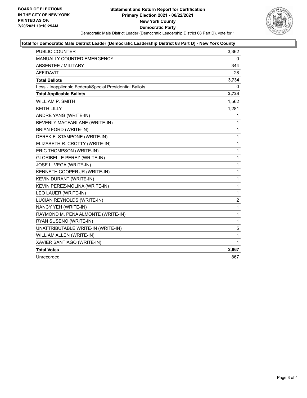

#### **Total for Democratic Male District Leader (Democratic Leadership District 68 Part D) - New York County**

| <b>PUBLIC COUNTER</b>                                    | 3,362          |
|----------------------------------------------------------|----------------|
| <b>MANUALLY COUNTED EMERGENCY</b>                        | 0              |
| <b>ABSENTEE / MILITARY</b>                               | 344            |
| <b>AFFIDAVIT</b>                                         | 28             |
| <b>Total Ballots</b>                                     | 3,734          |
| Less - Inapplicable Federal/Special Presidential Ballots | 0              |
| <b>Total Applicable Ballots</b>                          | 3,734          |
| WILLIAM P. SMITH                                         | 1,562          |
| <b>KEITH LILLY</b>                                       | 1,281          |
| ANDRE YANG (WRITE-IN)                                    | 1              |
| BEVERLY MACFARLANE (WRITE-IN)                            | 1              |
| <b>BRIAN FORD (WRITE-IN)</b>                             | 1              |
| DEREK F. STAMPONE (WRITE-IN)                             | 1              |
| ELIZABETH R. CROTTY (WRITE-IN)                           | 1              |
| ERIC THOMPSON (WRITE-IN)                                 | 1              |
| GLORIBELLE PEREZ (WRITE-IN)                              | 1              |
| JOSE L. VEGA (WRITE-IN)                                  | 1              |
| KENNETH COOPER JR (WRITE-IN)                             | 1              |
| <b>KEVIN DURANT (WRITE-IN)</b>                           | $\mathbf{1}$   |
| KEVIN PEREZ-MOLINA (WRITE-IN)                            | 1              |
| LEO LAUER (WRITE-IN)                                     | $\mathbf{1}$   |
| LUCIAN REYNOLDS (WRITE-IN)                               | $\overline{2}$ |
| NANCY YEH (WRITE-IN)                                     | 1              |
| RAYMOND M. PENA ALMONTE (WRITE-IN)                       | 1              |
| RYAN SUSENO (WRITE-IN)                                   | 1              |
| UNATTRIBUTABLE WRITE-IN (WRITE-IN)                       | 5              |
| WILLIAM ALLEN (WRITE-IN)                                 | 1              |
| XAVIER SANTIAGO (WRITE-IN)                               | 1              |
| <b>Total Votes</b>                                       | 2,867          |
| Unrecorded                                               | 867            |